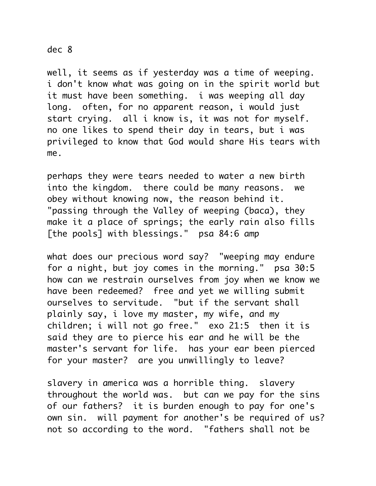## dec 8

well, it seems as if yesterday was a time of weeping. i don't know what was going on in the spirit world but it must have been something. i was weeping all day long. often, for no apparent reason, i would just start crying. all i know is, it was not for myself. no one likes to spend their day in tears, but i was privileged to know that God would share His tears with me.

perhaps they were tears needed to water a new birth into the kingdom. there could be many reasons. we obey without knowing now, the reason behind it. "passing through the Valley of weeping (baca), they make it a place of springs; the early rain also fills [the pools] with blessings." psa 84:6 amp

what does our precious word say? "weeping may endure for a night, but joy comes in the morning." psa 30:5 how can we restrain ourselves from joy when we know we have been redeemed? free and yet we willing submit ourselves to servitude. "but if the servant shall plainly say, i love my master, my wife, and my children; i will not go free." exo 21:5 then it is said they are to pierce his ear and he will be the master's servant for life. has your ear been pierced for your master? are you unwillingly to leave?

slavery in america was a horrible thing. slavery throughout the world was. but can we pay for the sins of our fathers? it is burden enough to pay for one's own sin. will payment for another's be required of us? not so according to the word. "fathers shall not be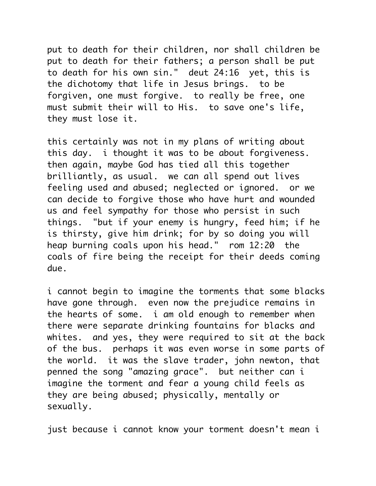put to death for their children, nor shall children be put to death for their fathers; a person shall be put to death for his own sin." deut 24:16 yet, this is the dichotomy that life in Jesus brings. to be forgiven, one must forgive. to really be free, one must submit their will to His. to save one's life, they must lose it.

this certainly was not in my plans of writing about this day. i thought it was to be about forgiveness. then again, maybe God has tied all this together brilliantly, as usual. we can all spend out lives feeling used and abused; neglected or ignored. or we can decide to forgive those who have hurt and wounded us and feel sympathy for those who persist in such things. "but if your enemy is hungry, feed him; if he is thirsty, give him drink; for by so doing you will heap burning coals upon his head." rom 12:20 the coals of fire being the receipt for their deeds coming due.

i cannot begin to imagine the torments that some blacks have gone through. even now the prejudice remains in the hearts of some. i am old enough to remember when there were separate drinking fountains for blacks and whites. and yes, they were required to sit at the back of the bus. perhaps it was even worse in some parts of the world. it was the slave trader, john newton, that penned the song "amazing grace". but neither can i imagine the torment and fear a young child feels as they are being abused; physically, mentally or sexually.

just because i cannot know your torment doesn't mean i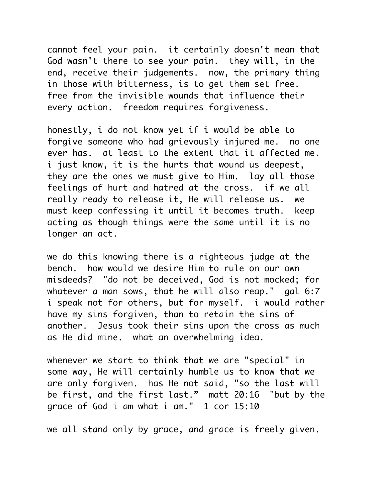cannot feel your pain. it certainly doesn't mean that God wasn't there to see your pain. they will, in the end, receive their judgements. now, the primary thing in those with bitterness, is to get them set free. free from the invisible wounds that influence their every action. freedom requires forgiveness.

honestly, i do not know yet if i would be able to forgive someone who had grievously injured me. no one ever has. at least to the extent that it affected me. i just know, it is the hurts that wound us deepest, they are the ones we must give to Him. lay all those feelings of hurt and hatred at the cross. if we all really ready to release it, He will release us. we must keep confessing it until it becomes truth. keep acting as though things were the same until it is no longer an act.

we do this knowing there is a righteous judge at the bench. how would we desire Him to rule on our own misdeeds? "do not be deceived, God is not mocked; for whatever a man sows, that he will also reap." gal 6:7 i speak not for others, but for myself. i would rather have my sins forgiven, than to retain the sins of another. Jesus took their sins upon the cross as much as He did mine. what an overwhelming idea.

whenever we start to think that we are "special" in some way, He will certainly humble us to know that we are only forgiven. has He not said, "so the last will be first, and the first last." matt 20:16 "but by the grace of God i am what i am." 1 cor 15:10

we all stand only by grace, and grace is freely given.